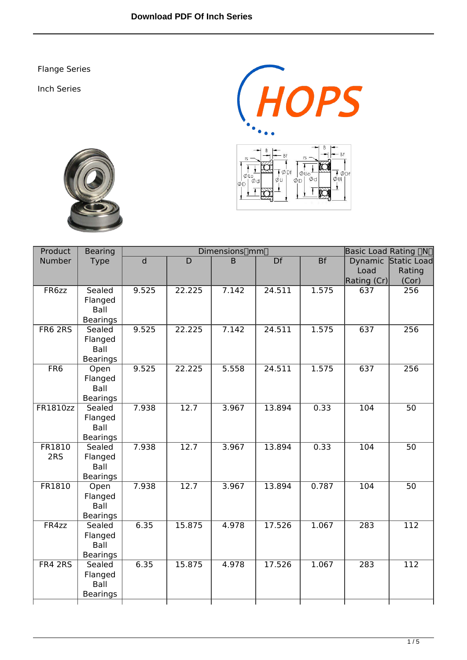Flange Series

Inch Series







| Product         | <b>Bearing</b>            |       | Dimensions∏mm∏ | <b>Basic Load Rating [JN]</b> |        |           |                  |                     |
|-----------------|---------------------------|-------|----------------|-------------------------------|--------|-----------|------------------|---------------------|
| <b>Number</b>   | <b>Type</b>               | d     | D              | B                             | Df     | <b>Bf</b> |                  | Dynamic Static Load |
|                 |                           |       |                |                               |        |           | Load             | Rating              |
|                 |                           |       |                |                               |        |           | Rating (Cr)      | (Cor)               |
| FR6zz           | Sealed                    | 9.525 | 22.225         | 7.142                         | 24.511 | 1.575     | 637              | 256                 |
|                 | Flanged                   |       |                |                               |        |           |                  |                     |
|                 | Ball<br><b>Bearings</b>   |       |                |                               |        |           |                  |                     |
| FR6 2RS         | Sealed                    | 9.525 | 22.225         | 7.142                         | 24.511 | 1.575     | 637              | 256                 |
|                 | Flanged                   |       |                |                               |        |           |                  |                     |
|                 | Ball                      |       |                |                               |        |           |                  |                     |
|                 | <b>Bearings</b>           |       |                |                               |        |           |                  |                     |
| F <sub>RG</sub> | Open                      | 9.525 | 22.225         | 5.558                         | 24.511 | 1.575     | 637              | 256                 |
|                 | Flanged                   |       |                |                               |        |           |                  |                     |
|                 | Ball                      |       |                |                               |        |           |                  |                     |
|                 | <b>Bearings</b>           |       |                |                               |        |           |                  |                     |
| FR1810zz        | Sealed                    | 7.938 | 12.7           | 3.967                         | 13.894 | 0.33      | 104              | $\overline{50}$     |
|                 | Flanged<br>Ball           |       |                |                               |        |           |                  |                     |
|                 | <b>Bearings</b>           |       |                |                               |        |           |                  |                     |
| FR1810          | Sealed                    | 7.938 | 12.7           | 3.967                         | 13.894 | 0.33      | $\overline{104}$ | $\overline{50}$     |
| 2RS             | Flanged                   |       |                |                               |        |           |                  |                     |
|                 | Ball                      |       |                |                               |        |           |                  |                     |
|                 | <b>Bearings</b>           |       |                |                               |        |           |                  |                     |
| FR1810          | Open                      | 7.938 | 12.7           | 3.967                         | 13.894 | 0.787     | 104              | $\overline{50}$     |
|                 | Flanged                   |       |                |                               |        |           |                  |                     |
|                 | Ball                      |       |                |                               |        |           |                  |                     |
| FR4zz           | <b>Bearings</b><br>Sealed | 6.35  | 15.875         | 4.978                         | 17.526 | 1.067     | 283              | $\overline{112}$    |
|                 | Flanged                   |       |                |                               |        |           |                  |                     |
|                 | Ball                      |       |                |                               |        |           |                  |                     |
|                 | <b>Bearings</b>           |       |                |                               |        |           |                  |                     |
| FR4 2RS         | Sealed                    | 6.35  | 15.875         | 4.978                         | 17.526 | 1.067     | 283              | $\overline{112}$    |
|                 | Flanged                   |       |                |                               |        |           |                  |                     |
|                 | Ball                      |       |                |                               |        |           |                  |                     |
|                 | <b>Bearings</b>           |       |                |                               |        |           |                  |                     |
|                 |                           |       |                |                               |        |           |                  |                     |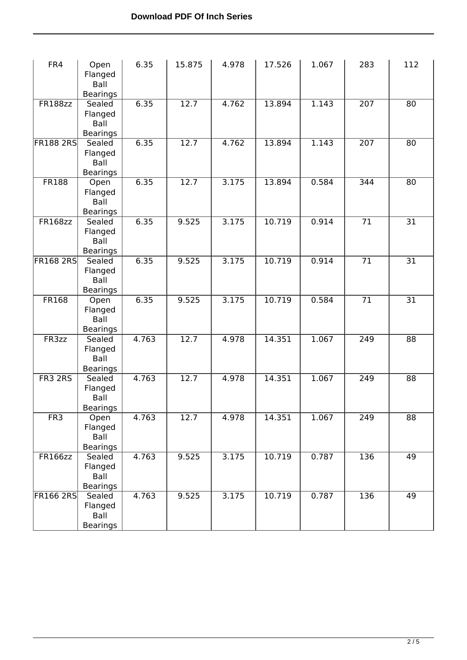| FR4              | Open<br>Flanged<br>Ball<br><b>Bearings</b>   | 6.35  | 15.875 | 4.978 | 17.526 | 1.067 | 283              | 112             |
|------------------|----------------------------------------------|-------|--------|-------|--------|-------|------------------|-----------------|
| <b>FR188zz</b>   | Sealed<br>Flanged<br>Ball<br><b>Bearings</b> | 6.35  | 12.7   | 4.762 | 13.894 | 1.143 | $\overline{207}$ | 80              |
| <b>FR188 2RS</b> | Sealed<br>Flanged<br>Ball<br>Bearings        | 6.35  | 12.7   | 4.762 | 13.894 | 1.143 | $\overline{207}$ | 80              |
| <b>FR188</b>     | Open<br>Flanged<br>Ball<br><b>Bearings</b>   | 6.35  | 12.7   | 3.175 | 13.894 | 0.584 | 344              | 80              |
| <b>FR168zz</b>   | Sealed<br>Flanged<br>Ball<br><b>Bearings</b> | 6.35  | 9.525  | 3.175 | 10.719 | 0.914 | $\overline{71}$  | $\overline{31}$ |
| <b>FR168 2RS</b> | Sealed<br>Flanged<br>Ball<br><b>Bearings</b> | 6.35  | 9.525  | 3.175 | 10.719 | 0.914 | $\overline{71}$  | 31              |
| <b>FR168</b>     | Open<br>Flanged<br>Ball<br><b>Bearings</b>   | 6.35  | 9.525  | 3.175 | 10.719 | 0.584 | $\overline{71}$  | $\overline{31}$ |
| FR3zz            | Sealed<br>Flanged<br>Ball<br><b>Bearings</b> | 4.763 | 12.7   | 4.978 | 14.351 | 1.067 | 249              | 88              |
| FR3 2RS          | Sealed<br>Flanged<br>Ball<br><b>Bearings</b> | 4.763 | 12.7   | 4.978 | 14.351 | 1.067 | 249              | 88              |
| FR <sub>3</sub>  | Open<br>Flanged<br>Ball<br><b>Bearings</b>   | 4.763 | 12.7   | 4.978 | 14.351 | 1.067 | 249              | $\overline{88}$ |
| <b>FR166zz</b>   | Sealed<br>Flanged<br>Ball<br><b>Bearings</b> | 4.763 | 9.525  | 3.175 | 10.719 | 0.787 | 136              | 49              |
| <b>FR166 2RS</b> | Sealed<br>Flanged<br>Ball<br><b>Bearings</b> | 4.763 | 9.525  | 3.175 | 10.719 | 0.787 | 136              | 49              |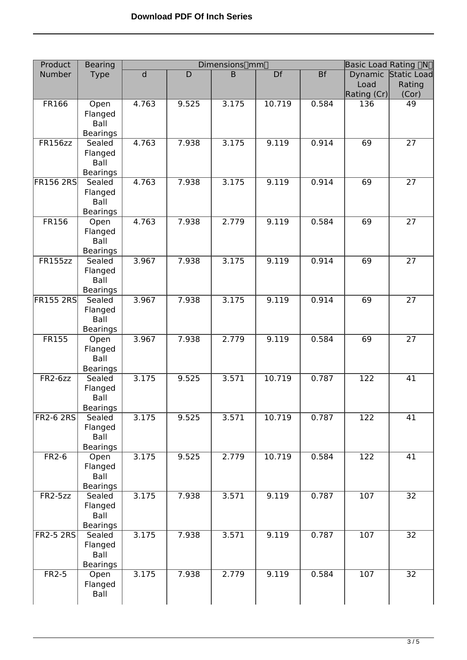| Product          | <b>Bearing</b>                               | Dimensions <sup>[1</sup> mm] |       |       |        |       | Basic Load Rating DND |                     |  |
|------------------|----------------------------------------------|------------------------------|-------|-------|--------|-------|-----------------------|---------------------|--|
| Number           | <b>Type</b>                                  | $\overline{d}$               | D     | B     | Df     | Bf    |                       | Dynamic Static Load |  |
|                  |                                              |                              |       |       |        |       | Load                  | Rating              |  |
|                  |                                              |                              |       |       |        |       | Rating (Cr)           | (Cor)               |  |
| <b>FR166</b>     | Open<br>Flanged<br>Ball<br><b>Bearings</b>   | 4.763                        | 9.525 | 3.175 | 10.719 | 0.584 | 136                   | $\overline{49}$     |  |
| <b>FR156zz</b>   | Sealed<br>Flanged<br>Ball<br><b>Bearings</b> | 4.763                        | 7.938 | 3.175 | 9.119  | 0.914 | 69                    | $\overline{27}$     |  |
| <b>FR156 2RS</b> | Sealed<br>Flanged<br>Ball<br><b>Bearings</b> | 4.763                        | 7.938 | 3.175 | 9.119  | 0.914 | 69                    | $\overline{27}$     |  |
| <b>FR156</b>     | Open<br>Flanged<br>Ball<br><b>Bearings</b>   | 4.763                        | 7.938 | 2.779 | 9.119  | 0.584 | 69                    | 27                  |  |
| <b>FR155zz</b>   | Sealed<br>Flanged<br>Ball<br><b>Bearings</b> | 3.967                        | 7.938 | 3.175 | 9.119  | 0.914 | 69                    | $\overline{27}$     |  |
| <b>FR155 2RS</b> | Sealed<br>Flanged<br>Ball<br><b>Bearings</b> | 3.967                        | 7.938 | 3.175 | 9.119  | 0.914 | 69                    | $\overline{27}$     |  |
| <b>FR155</b>     | Open<br>Flanged<br>Ball<br><b>Bearings</b>   | 3.967                        | 7.938 | 2.779 | 9.119  | 0.584 | 69                    | 27                  |  |
| $FR2-6zz$        | Sealed<br>Flanged<br>Ball<br><b>Bearings</b> | 3.175                        | 9.525 | 3.571 | 10.719 | 0.787 | $\overline{122}$      | 41                  |  |
| <b>FR2-6 2RS</b> | Sealed<br>Flanged<br>Ball<br>Bearings        | 3.175                        | 9.525 | 3.571 | 10.719 | 0.787 | 122                   | 41                  |  |
| $FR2-6$          | Open<br>Flanged<br>Ball<br><b>Bearings</b>   | 3.175                        | 9.525 | 2.779 | 10.719 | 0.584 | 122                   | 41                  |  |
| $FR2-5zz$        | Sealed<br>Flanged<br>Ball<br><b>Bearings</b> | 3.175                        | 7.938 | 3.571 | 9.119  | 0.787 | $\overline{107}$      | $\overline{32}$     |  |
| <b>FR2-5 2RS</b> | Sealed<br>Flanged<br>Ball<br><b>Bearings</b> | 3.175                        | 7.938 | 3.571 | 9.119  | 0.787 | 107                   | 32                  |  |
| $FR2-5$          | Open<br>Flanged<br>Ball                      | 3.175                        | 7.938 | 2.779 | 9.119  | 0.584 | 107                   | $\overline{32}$     |  |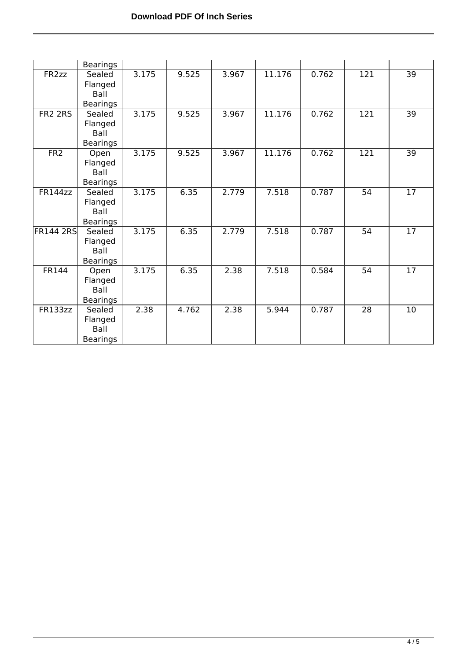|                     | <b>Bearings</b>                              |       |       |       |        |       |                  |                 |
|---------------------|----------------------------------------------|-------|-------|-------|--------|-------|------------------|-----------------|
| FR <sub>2zz</sub>   | Sealed<br>Flanged<br>Ball<br><b>Bearings</b> | 3.175 | 9.525 | 3.967 | 11.176 | 0.762 | $\overline{121}$ | $\overline{39}$ |
| FR <sub>2</sub> 2RS | Sealed<br>Flanged<br>Ball<br>Bearings        | 3.175 | 9.525 | 3.967 | 11.176 | 0.762 | $\overline{121}$ | 39              |
| FR <sub>2</sub>     | Open<br>Flanged<br>Ball<br><b>Bearings</b>   | 3.175 | 9.525 | 3.967 | 11.176 | 0.762 | $\overline{121}$ | $\overline{39}$ |
| FR144zz             | Sealed<br>Flanged<br>Ball<br><b>Bearings</b> | 3.175 | 6.35  | 2.779 | 7.518  | 0.787 | $\overline{54}$  | $\overline{17}$ |
| <b>FR144 2RS</b>    | Sealed<br>Flanged<br>Ball<br><b>Bearings</b> | 3.175 | 6.35  | 2.779 | 7.518  | 0.787 | 54               | 17              |
| <b>FR144</b>        | Open<br>Flanged<br>Ball<br><b>Bearings</b>   | 3.175 | 6.35  | 2.38  | 7.518  | 0.584 | $\overline{54}$  | $\overline{17}$ |
| FR133zz             | Sealed<br>Flanged<br>Ball<br><b>Bearings</b> | 2.38  | 4.762 | 2.38  | 5.944  | 0.787 | $\overline{28}$  | 10              |